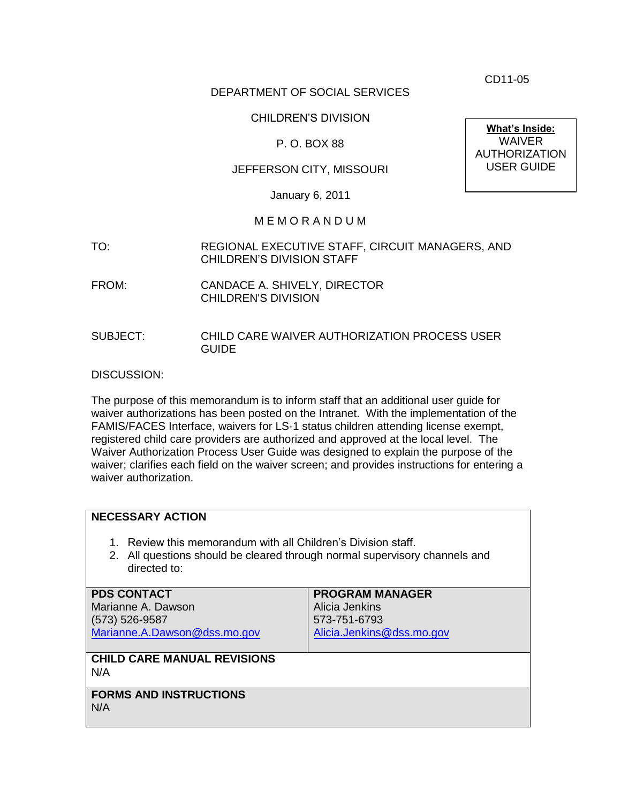CD11-05

### DEPARTMENT OF SOCIAL SERVICES

#### CHILDREN'S DIVISION

#### P. O. BOX 88

### JEFFERSON CITY, MISSOURI

January 6, 2011

#### M E M O R A N D U M

- TO: REGIONAL EXECUTIVE STAFF, CIRCUIT MANAGERS, AND CHILDREN'S DIVISION STAFF
- FROM: CANDACE A. SHIVELY, DIRECTOR CHILDREN'S DIVISION
- SUBJECT: CHILD CARE WAIVER AUTHORIZATION PROCESS USER GUIDE

DISCUSSION:

The purpose of this memorandum is to inform staff that an additional user guide for waiver authorizations has been posted on the Intranet. With the implementation of the FAMIS/FACES Interface, waivers for LS-1 status children attending license exempt, registered child care providers are authorized and approved at the local level. The Waiver Authorization Process User Guide was designed to explain the purpose of the waiver; clarifies each field on the waiver screen; and provides instructions for entering a waiver authorization.

| <b>NECESSARY ACTION</b>                                                                                                                                     |                           |
|-------------------------------------------------------------------------------------------------------------------------------------------------------------|---------------------------|
| 1. Review this memorandum with all Children's Division staff.<br>2. All questions should be cleared through normal supervisory channels and<br>directed to: |                           |
| <b>PDS CONTACT</b>                                                                                                                                          | <b>PROGRAM MANAGER</b>    |
| Marianne A. Dawson                                                                                                                                          | Alicia Jenkins            |
| $(573) 526 - 9587$                                                                                                                                          | 573-751-6793              |
| Marianne.A.Dawson@dss.mo.gov                                                                                                                                | Alicia.Jenkins@dss.mo.gov |
|                                                                                                                                                             |                           |
| <b>CHILD CARE MANUAL REVISIONS</b><br>N/A                                                                                                                   |                           |
| <b>FORMS AND INSTRUCTIONS</b><br>N/A                                                                                                                        |                           |

**What's Inside:** WAIVER AUTHORIZATION USER GUIDE